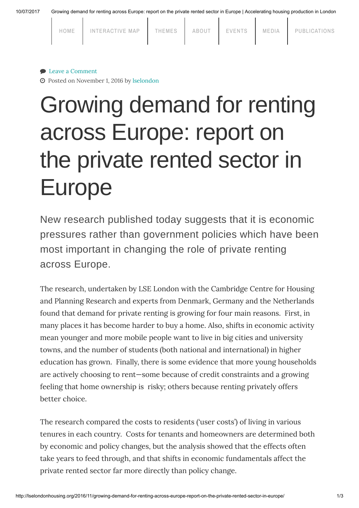10/07/2017 Growing demand for renting across Europe: report on the private rented sector in Europe | Accelerating housing production in London

| HOME | INTERACTIVE MAP | THEMES | ABOUT | EVENTS | MEDIA | PUBLICATIONS |
|------|-----------------|--------|-------|--------|-------|--------------|
|      |                 |        |       |        |       |              |

## ● Leave a [Comment](#page-1-0)

Posted on November 1, 2016 by [lselondon](http://lselondonhousing.org/author/lselondon/)

## Growing demand for renting across Europe: report on the private rented sector in Europe

New research published today suggests that it is economic pressures rather than government policies which have been most important in changing the role of private renting across Europe.

The research, undertaken by LSE London with the Cambridge Centre for Housing and Planning Research and experts from Denmark, Germany and the Netherlands found that demand for private renting is growing for four main reasons. First, in many places it has become harder to buy a home. Also, shifts in economic activity mean younger and more mobile people want to live in big cities and university towns, and the number of students (both national and international) in higher education has grown. Finally, there is some evidence that more young households are actively choosing to rent—some because of credit constraints and a growing feeling that home ownership is risky; others because renting privately offers better choice.

The research compared the costs to residents ('user costs') of living in various tenures in each country. Costs for tenants and homeowners are determined both by economic and policy changes, but the analysis showed that the effects often take years to feed through, and that shifts in economic fundamentals affect the private rented sector far more directly than policy change.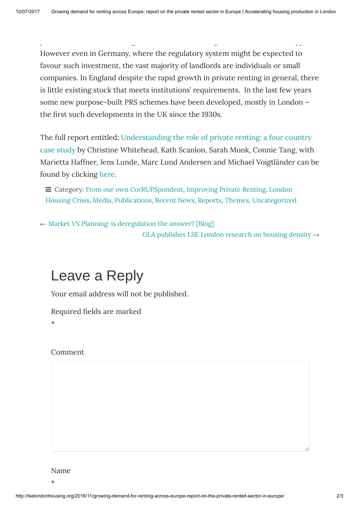private rented sector through the use of tax reliefs, guarantees and other support.

However even in Germany, where the regulatory system might be expected to favour such investment, the vast majority of landlords are individuals or small companies. In England despite the rapid growth in private renting in general, there is little existing stock that meets institutions' requirements. In the last few years some new purpose-built PRS schemes have been developed, mostly in London – the first such developments in the UK since the 1930s.

The full report entitled: [Understanding](http://lselondonhousing.org/wp-content/uploads/2016/10/Understanding-the-Role-of-Private-Renting_Web.pdf) the role of private renting: a four country case study by Christine Whitehead, Kath Scanlon, Sarah Monk, Connie Tang, with Marietta Haffner, Jens Lunde, Marc Lund Andersen and Michael Voigtländer can be found by clicking [here](http://www.lselondonhousing.org/wp-content/uploads/2016/10/Understanding-the-Role-of-Private-Renting_Web.pdf).

 $\equiv$  Category: From our own [CorRUPSpondent](http://lselondonhousing.org/category/media/from-our-own-corrupspondent/)[,](http://lselondonhousing.org/category/themes/london-housing-crisis/) [Improving](http://lselondonhousing.org/category/themes/london-housing-crisis/improving-private-renting/) Private Renting, London Housing Crisis, [Media](http://lselondonhousing.org/category/media/), [Publications,](http://lselondonhousing.org/category/publications/) [Recent](http://lselondonhousing.org/category/recent-news/) News, [Reports](http://lselondonhousing.org/category/publications/reports/), [Themes](http://lselondonhousing.org/category/themes/), [Uncategorized](http://lselondonhousing.org/category/uncategorized/)

 $\leftarrow$  Market VS Planning: is [deregulation](http://lselondonhousing.org/2016/10/market-vs-planning-is-deregulation-the-answer-blog/) the answer? [Blog] GLA [publishes](http://lselondonhousing.org/2016/11/gla-publishes-lse-london-research-on-housing-density/) LSE London research on housing density  $\rightarrow$ 

## <span id="page-1-0"></span>Leave a Reply

Your email address will not be published.

Required fields are marked

\*

## Comment

Name